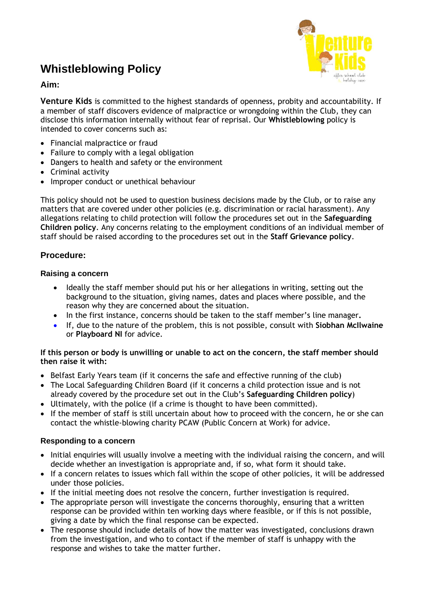# **Whistleblowing Policy**



### **Aim:**

**Venture Kids** is committed to the highest standards of openness, probity and accountability. If a member of staff discovers evidence of malpractice or wrongdoing within the Club, they can disclose this information internally without fear of reprisal. Our **Whistleblowing** policy is intended to cover concerns such as:

- Financial malpractice or fraud
- Failure to comply with a legal obligation
- Dangers to health and safety or the environment
- Criminal activity
- Improper conduct or unethical behaviour

This policy should not be used to question business decisions made by the Club, or to raise any matters that are covered under other policies (e.g. discrimination or racial harassment). Any allegations relating to child protection will follow the procedures set out in the **Safeguarding Children policy**. Any concerns relating to the employment conditions of an individual member of staff should be raised according to the procedures set out in the **Staff Grievance policy**.

## **Procedure:**

#### **Raising a concern**

- Ideally the staff member should put his or her allegations in writing, setting out the background to the situation, giving names, dates and places where possible, and the reason why they are concerned about the situation.
- In the first instance, concerns should be taken to the staff member's line manager**.**
- If, due to the nature of the problem, this is not possible, consult with **Siobhan McIlwaine** or **Playboard NI** for advice.

#### **If this person or body is unwilling or unable to act on the concern, the staff member should then raise it with:**

- Belfast Early Years team (if it concerns the safe and effective running of the club)
- The Local Safeguarding Children Board (if it concerns a child protection issue and is not already covered by the procedure set out in the Club's **Safeguarding Children policy**)
- Ultimately, with the police (if a crime is thought to have been committed).
- If the member of staff is still uncertain about how to proceed with the concern, he or she can contact the whistle-blowing charity PCAW (Public Concern at Work) for advice.

#### **Responding to a concern**

- Initial enquiries will usually involve a meeting with the individual raising the concern, and will decide whether an investigation is appropriate and, if so, what form it should take.
- If a concern relates to issues which fall within the scope of other policies, it will be addressed under those policies.
- If the initial meeting does not resolve the concern, further investigation is required.
- The appropriate person will investigate the concerns thoroughly, ensuring that a written response can be provided within ten working days where feasible, or if this is not possible, giving a date by which the final response can be expected.
- The response should include details of how the matter was investigated, conclusions drawn from the investigation, and who to contact if the member of staff is unhappy with the response and wishes to take the matter further.